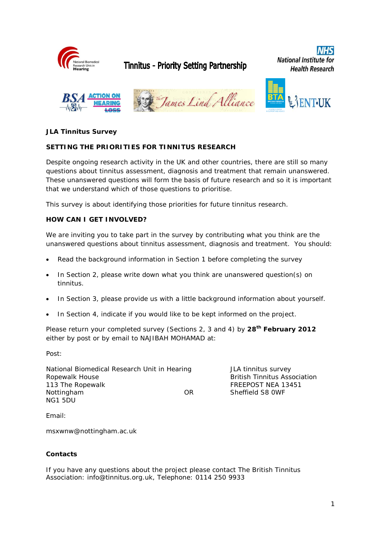

# Tinnitus - Priority Setting Partnership

**National Institute for Health Research** 



## **JLA Tinnitus Survey**

#### **SETTING THE PRIORITIES FOR TINNITUS RESEARCH**

Despite ongoing research activity in the UK and other countries, there are still so many questions about tinnitus assessment, diagnosis and treatment that remain unanswered. These unanswered questions will form the basis of future research and so it is important that we understand which of those questions to prioritise.

This survey is about identifying those priorities for future tinnitus research.

#### **HOW CAN I GET INVOLVED?**

We are inviting you to take part in the survey by contributing what you think are the unanswered questions about tinnitus assessment, diagnosis and treatment. You should:

- Read the background information in Section 1 before completing the survey
- In Section 2, please write down what you think are unanswered question(s) on tinnitus.
- In Section 3, please provide us with a little background information about yourself.
- In Section 4, indicate if you would like to be kept informed on the project.

Please return your completed survey (Sections 2, 3 and 4) by **28th February 2012** either by post or by email to NAJIBAH MOHAMAD at:

Post:

National Biomedical Research Unit in Hearing Table 11 JLA tinnitus survey Ropewalk House **British Tinnitus Association** 113 The Ropewalk **FREEPOST NEA 13451** Nottingham OR Sheffield S8 0WF NG1 5DU

Email:

msxwnw@nottingham.ac.uk

#### **Contacts**

If you have any questions about the project please contact The British Tinnitus Association: info@tinnitus.org.uk, Telephone: 0114 250 9933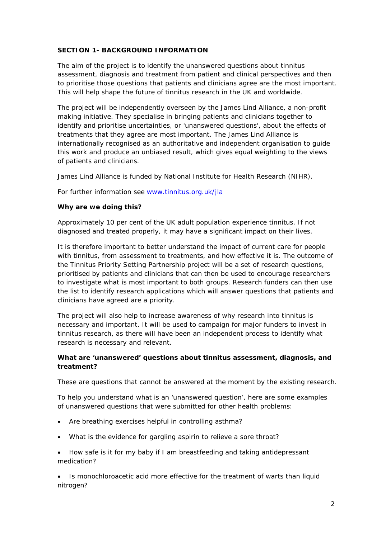#### **SECTION 1- BACKGROUND INFORMATION**

The aim of the project is to identify the unanswered questions about tinnitus assessment, diagnosis and treatment from patient and clinical perspectives and then to prioritise those questions that patients and clinicians agree are the most important. This will help shape the future of tinnitus research in the UK and worldwide.

The project will be independently overseen by the James Lind Alliance, a non-profit making initiative. They specialise in bringing patients and clinicians together to identify and prioritise uncertainties, or 'unanswered questions', about the effects of treatments that they agree are most important. The James Lind Alliance is internationally recognised as an authoritative and independent organisation to guide this work and produce an unbiased result, which gives equal weighting to the views of patients and clinicians.

James Lind Alliance is funded by National Institute for Health Research (NIHR).

For further information see [www.tinnitus.org.uk/jla](http://www.tinnitus.org.uk/introducing-the-tinnitus-priority-setting-partnership)

#### **Why are we doing this?**

Approximately 10 per cent of the UK adult population experience tinnitus. If not diagnosed and treated properly, it may have a significant impact on their lives.

It is therefore important to better understand the impact of current care for people with tinnitus, from assessment to treatments, and how effective it is. The outcome of the Tinnitus Priority Setting Partnership project will be a set of research questions, prioritised by patients and clinicians that can then be used to encourage researchers to investigate what is most important to both groups. Research funders can then use the list to identify research applications which will answer questions that patients and clinicians have agreed are a priority.

The project will also help to increase awareness of why research into tinnitus is necessary and important. It will be used to campaign for major funders to invest in tinnitus research, as there will have been an independent process to identify what research is necessary and relevant.

#### **What are 'unanswered' questions about tinnitus assessment, diagnosis, and treatment?**

These are questions that cannot be answered at the moment by the existing research.

To help you understand what is an 'unanswered question', here are some examples of unanswered questions that were submitted for other health problems:

- Are breathing exercises helpful in controlling asthma?
- What is the evidence for gargling aspirin to relieve a sore throat?
- How safe is it for my baby if I am breastfeeding and taking antidepressant medication?

• Is monochloroacetic acid more effective for the treatment of warts than liquid nitrogen?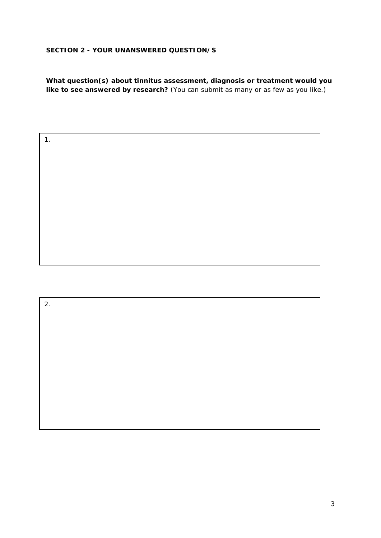# **SECTION 2 - YOUR UNANSWERED QUESTION/S**

1.

**What question(s) about tinnitus assessment, diagnosis or treatment would you like to see answered by research?** (You can submit as many or as few as you like.)

2.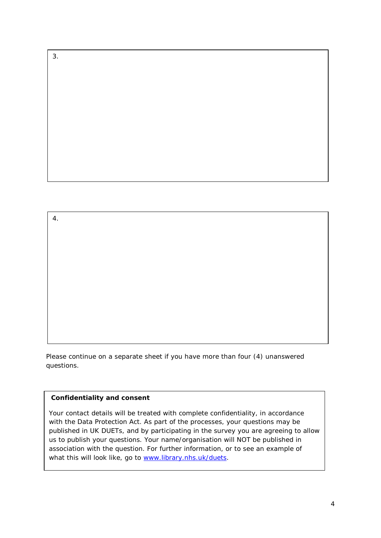3.

4.

Please continue on a separate sheet if you have more than four (4) unanswered questions.

#### **Confidentiality and consent**

Your contact details will be treated with complete confidentiality, in accordance with the Data Protection Act. As part of the processes, your questions may be published in UK DUETs, and by participating in the survey you are agreeing to allow us to publish your questions. Your name/organisation will NOT be published in association with the question. For further information, or to see an example of what this will look like, go to [www.library.nhs.uk/duets.](http://www.library.nhs.uk/duets)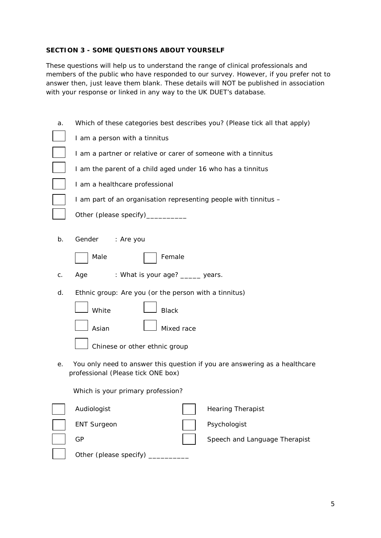#### **SECTION 3 - SOME QUESTIONS ABOUT YOURSELF**

These questions will help us to understand the range of clinical professionals and members of the public who have responded to our survey. However, if you prefer not to answer then, just leave them blank. These details will NOT be published in association with your response or linked in any way to the UK DUET's database.

| a. | Which of these categories best describes you? (Please tick all that apply)                                       |  |  |  |  |
|----|------------------------------------------------------------------------------------------------------------------|--|--|--|--|
|    | I am a person with a tinnitus                                                                                    |  |  |  |  |
|    | I am a partner or relative or carer of someone with a tinnitus                                                   |  |  |  |  |
|    | I am the parent of a child aged under 16 who has a tinnitus                                                      |  |  |  |  |
|    | I am a healthcare professional                                                                                   |  |  |  |  |
|    | I am part of an organisation representing people with tinnitus -                                                 |  |  |  |  |
|    | Other (please specify)______                                                                                     |  |  |  |  |
| b. | Gender<br>: Are you                                                                                              |  |  |  |  |
|    | Female<br>Male                                                                                                   |  |  |  |  |
| С. | : What is your age? ____ years.<br>Age                                                                           |  |  |  |  |
| d. | Ethnic group: Are you (or the person with a tinnitus)                                                            |  |  |  |  |
|    | White<br><b>Black</b>                                                                                            |  |  |  |  |
|    | Asian<br>Mixed race                                                                                              |  |  |  |  |
|    | Chinese or other ethnic group                                                                                    |  |  |  |  |
| е. | You only need to answer this question if you are answering as a healthcare<br>professional (Please tick ONE box) |  |  |  |  |
|    | Which is your primary profession?                                                                                |  |  |  |  |
|    | Audiologist<br><b>Hearing Therapist</b>                                                                          |  |  |  |  |
|    | Psychologist<br><b>ENT Surgeon</b>                                                                               |  |  |  |  |
|    | GP<br>Speech and Language Therapist                                                                              |  |  |  |  |
|    | Other (please specify)                                                                                           |  |  |  |  |